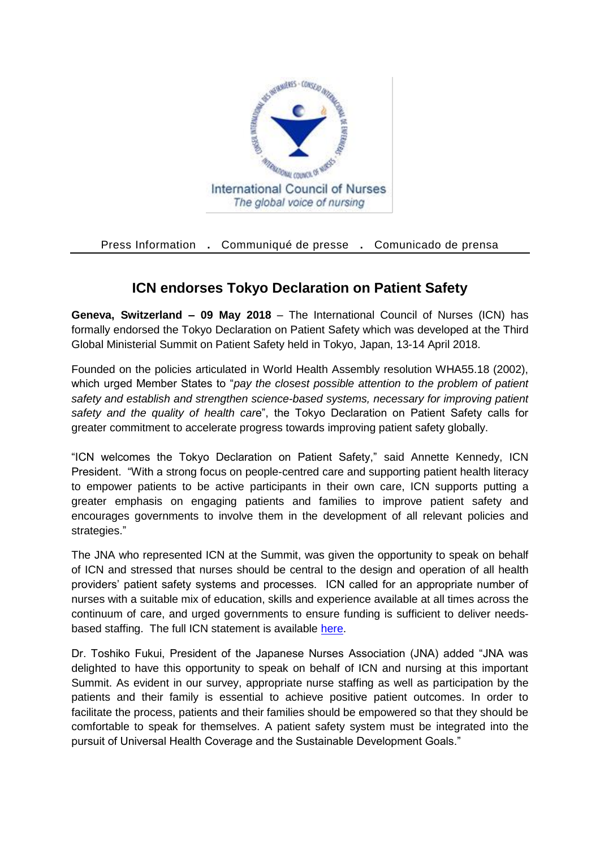

Press Information **.** Communiqué de presse **.** Comunicado de prensa

## **ICN endorses Tokyo Declaration on Patient Safety**

**Geneva, Switzerland – 09 May 2018** – The International Council of Nurses (ICN) has formally endorsed the Tokyo Declaration on Patient Safety which was developed at the Third Global Ministerial Summit on Patient Safety held in Tokyo, Japan, 13-14 April 2018.

Founded on the policies articulated in World Health Assembly resolution WHA55.18 (2002), which urged Member States to "*pay the closest possible attention to the problem of patient safety and establish and strengthen science-based systems, necessary for improving patient safety and the quality of health car*e", the Tokyo Declaration on Patient Safety calls for greater commitment to accelerate progress towards improving patient safety globally.

"ICN welcomes the Tokyo Declaration on Patient Safety," said Annette Kennedy, ICN President. "With a strong focus on people-centred care and supporting patient health literacy to empower patients to be active participants in their own care, ICN supports putting a greater emphasis on engaging patients and families to improve patient safety and encourages governments to involve them in the development of all relevant policies and strategies."

The JNA who represented ICN at the Summit, was given the opportunity to speak on behalf of ICN and stressed that nurses should be central to the design and operation of all health providers' patient safety systems and processes. ICN called for an appropriate number of nurses with a suitable mix of education, skills and experience available at all times across the continuum of care, and urged governments to ensure funding is sufficient to deliver needsbased staffing. The full ICN statement is available [here.](http://www.icn.ch/images/stories/documents/projects/nursing_policy/Glob%20Minist.%20Pt%20Safety%20Summit_ICN%20statement%20final.pdf)

Dr. Toshiko Fukui, President of the Japanese Nurses Association (JNA) added "JNA was delighted to have this opportunity to speak on behalf of ICN and nursing at this important Summit. As evident in our survey, appropriate nurse staffing as well as participation by the patients and their family is essential to achieve positive patient outcomes. In order to facilitate the process, patients and their families should be empowered so that they should be comfortable to speak for themselves. A patient safety system must be integrated into the pursuit of Universal Health Coverage and the Sustainable Development Goals."